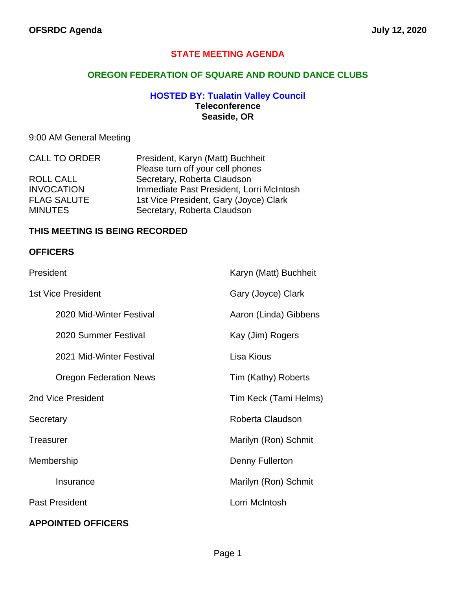### **STATE MEETING AGENDA**

### **OREGON FEDERATION OF SQUARE AND ROUND DANCE CLUBS**

#### **HOSTED BY: Tualatin Valley Council Teleconference Seaside, OR**

### 9:00 AM General Meeting

| <b>CALL TO ORDER</b> | President, Karyn (Matt) Buchheit         |
|----------------------|------------------------------------------|
|                      | Please turn off your cell phones         |
| ROLL CALL            | Secretary, Roberta Claudson              |
| <b>INVOCATION</b>    | Immediate Past President, Lorri McIntosh |
| <b>FLAG SALUTE</b>   | 1st Vice President, Gary (Joyce) Clark   |
| <b>MINUTES</b>       | Secretary, Roberta Claudson              |

#### **THIS MEETING IS BEING RECORDED**

#### **OFFICERS**

| President                     | Karyn (Matt) Buchheit |
|-------------------------------|-----------------------|
| <b>1st Vice President</b>     | Gary (Joyce) Clark    |
| 2020 Mid-Winter Festival      | Aaron (Linda) Gibbens |
| 2020 Summer Festival          | Kay (Jim) Rogers      |
| 2021 Mid-Winter Festival      | Lisa Kious            |
| <b>Oregon Federation News</b> | Tim (Kathy) Roberts   |
| 2nd Vice President            | Tim Keck (Tami Helms) |
| Secretary                     | Roberta Claudson      |
| <b>Treasurer</b>              | Marilyn (Ron) Schmit  |
| Membership                    | Denny Fullerton       |
| Insurance                     | Marilyn (Ron) Schmit  |
| <b>Past President</b>         | Lorri McIntosh        |
| <b>APPOINTED OFFICERS</b>     |                       |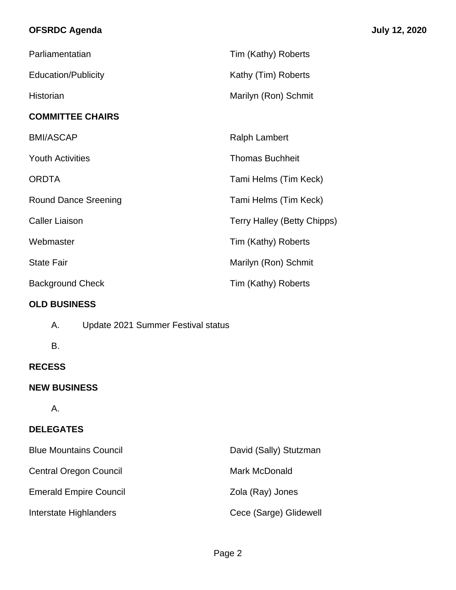# **OFSRDC Agenda July 12, 2020**

| Parliamentatian             | Tim (Kathy) Roberts                |  |
|-----------------------------|------------------------------------|--|
| <b>Education/Publicity</b>  | Kathy (Tim) Roberts                |  |
| Historian                   | Marilyn (Ron) Schmit               |  |
| <b>COMMITTEE CHAIRS</b>     |                                    |  |
| <b>BMI/ASCAP</b>            | <b>Ralph Lambert</b>               |  |
| <b>Youth Activities</b>     | <b>Thomas Buchheit</b>             |  |
| <b>ORDTA</b>                | Tami Helms (Tim Keck)              |  |
| <b>Round Dance Sreening</b> | Tami Helms (Tim Keck)              |  |
| <b>Caller Liaison</b>       | <b>Terry Halley (Betty Chipps)</b> |  |
| Webmaster                   | Tim (Kathy) Roberts                |  |
| <b>State Fair</b>           | Marilyn (Ron) Schmit               |  |
| <b>Background Check</b>     | Tim (Kathy) Roberts                |  |
| <b>OLD BUSINESS</b>         |                                    |  |

- A. Update 2021 Summer Festival status
- B.

### **RECESS**

## **NEW BUSINESS**

A.

## **DELEGATES**

| <b>Blue Mountains Council</b> | David (Sally) Stutzman |
|-------------------------------|------------------------|
| <b>Central Oregon Council</b> | Mark McDonald          |
| <b>Emerald Empire Council</b> | Zola (Ray) Jones       |
| Interstate Highlanders        | Cece (Sarge) Glidewell |